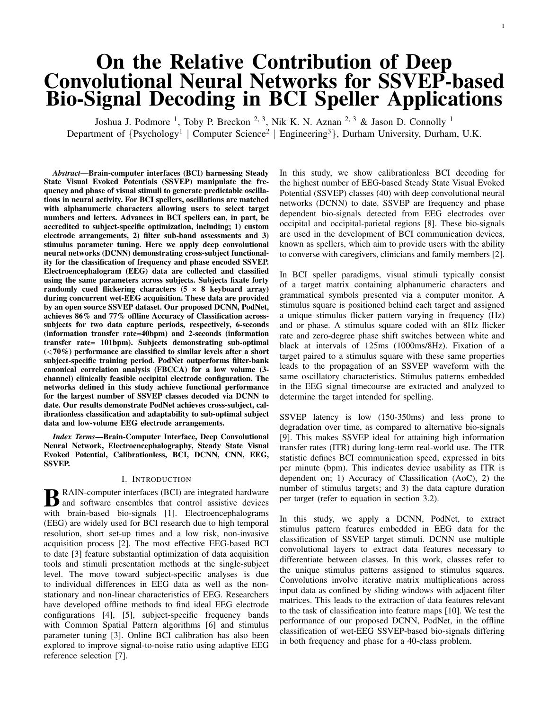# On the Relative Contribution of Deep Convolutional Neural Networks for SSVEP-based Bio-Signal Decoding in BCI Speller Applications

Joshua J. Podmore <sup>1</sup>, Toby P. Breckon <sup>2, 3</sup>, Nik K. N. Aznan <sup>2, 3</sup> & Jason D. Connolly <sup>1</sup> Department of {Psychology<sup>1</sup> | Computer Science<sup>2</sup> | Engineering<sup>3</sup>}, Durham University, Durham, U.K.

*Abstract*—Brain-computer interfaces (BCI) harnessing Steady State Visual Evoked Potentials (SSVEP) manipulate the frequency and phase of visual stimuli to generate predictable oscillations in neural activity. For BCI spellers, oscillations are matched with alphanumeric characters allowing users to select target numbers and letters. Advances in BCI spellers can, in part, be accredited to subject-specific optimization, including; 1) custom electrode arrangements, 2) filter sub-band assessments and 3) stimulus parameter tuning. Here we apply deep convolutional neural networks (DCNN) demonstrating cross-subject functionality for the classification of frequency and phase encoded SSVEP. Electroencephalogram (EEG) data are collected and classified using the same parameters across subjects. Subjects fixate forty randomly cued flickering characters  $(5 \times 8 \text{ keyboard array})$ during concurrent wet-EEG acquisition. These data are provided by an open source SSVEP dataset. Our proposed DCNN, PodNet, achieves 86% and 77% offline Accuracy of Classification acrosssubjects for two data capture periods, respectively, 6-seconds (information transfer rate=40bpm) and 2-seconds (information transfer rate= 101bpm). Subjects demonstrating sub-optimal  $(<10\%)$  performance are classified to similar levels after a short subject-specific training period. PodNet outperforms filter-bank canonical correlation analysis (FBCCA) for a low volume (3 channel) clinically feasible occipital electrode configuration. The networks defined in this study achieve functional performance for the largest number of SSVEP classes decoded via DCNN to date. Our results demonstrate PodNet achieves cross-subject, calibrationless classification and adaptability to sub-optimal subject data and low-volume EEG electrode arrangements.

*Index Terms*—Brain-Computer Interface, Deep Convolutional Neural Network, Electroencephalography, Steady State Visual Evoked Potential, Calibrationless, BCI, DCNN, CNN, EEG, SSVEP.

#### I. INTRODUCTION

**B** RAIN-computer interfaces (BCI) are integrated hardware<br>and software ensembles that control assistive devices and software ensembles that control assistive devices with brain-based bio-signals [1]. Electroencephalograms (EEG) are widely used for BCI research due to high temporal resolution, short set-up times and a low risk, non-invasive acquisition process [2]. The most effective EEG-based BCI to date [3] feature substantial optimization of data acquisition tools and stimuli presentation methods at the single-subject level. The move toward subject-specific analyses is due to individual differences in EEG data as well as the nonstationary and non-linear characteristics of EEG. Researchers have developed offline methods to find ideal EEG electrode configurations [4], [5], subject-specific frequency bands with Common Spatial Pattern algorithms [6] and stimulus parameter tuning [3]. Online BCI calibration has also been explored to improve signal-to-noise ratio using adaptive EEG reference selection [7].

In this study, we show calibrationless BCI decoding for the highest number of EEG-based Steady State Visual Evoked Potential (SSVEP) classes (40) with deep convolutional neural networks (DCNN) to date. SSVEP are frequency and phase dependent bio-signals detected from EEG electrodes over occipital and occipital-parietal regions [8]. These bio-signals are used in the development of BCI communication devices, known as spellers, which aim to provide users with the ability to converse with caregivers, clinicians and family members [2].

1

In BCI speller paradigms, visual stimuli typically consist of a target matrix containing alphanumeric characters and grammatical symbols presented via a computer monitor. A stimulus square is positioned behind each target and assigned a unique stimulus flicker pattern varying in frequency (Hz) and or phase. A stimulus square coded with an 8Hz flicker rate and zero-degree phase shift switches between white and black at intervals of 125ms (1000ms/8Hz). Fixation of a target paired to a stimulus square with these same properties leads to the propagation of an SSVEP waveform with the same oscillatory characteristics. Stimulus patterns embedded in the EEG signal timecourse are extracted and analyzed to determine the target intended for spelling.

SSVEP latency is low (150-350ms) and less prone to degradation over time, as compared to alternative bio-signals [9]. This makes SSVEP ideal for attaining high information transfer rates (ITR) during long-term real-world use. The ITR statistic defines BCI communication speed, expressed in bits per minute (bpm). This indicates device usability as ITR is dependent on; 1) Accuracy of Classification (AoC), 2) the number of stimulus targets; and 3) the data capture duration per target (refer to equation in section 3.2).

In this study, we apply a DCNN, PodNet, to extract stimulus pattern features embedded in EEG data for the classification of SSVEP target stimuli. DCNN use multiple convolutional layers to extract data features necessary to differentiate between classes. In this work, classes refer to the unique stimulus patterns assigned to stimulus squares. Convolutions involve iterative matrix multiplications across input data as confined by sliding windows with adjacent filter matrices. This leads to the extraction of data features relevant to the task of classification into feature maps [10]. We test the performance of our proposed DCNN, PodNet, in the offline classification of wet-EEG SSVEP-based bio-signals differing in both frequency and phase for a 40-class problem.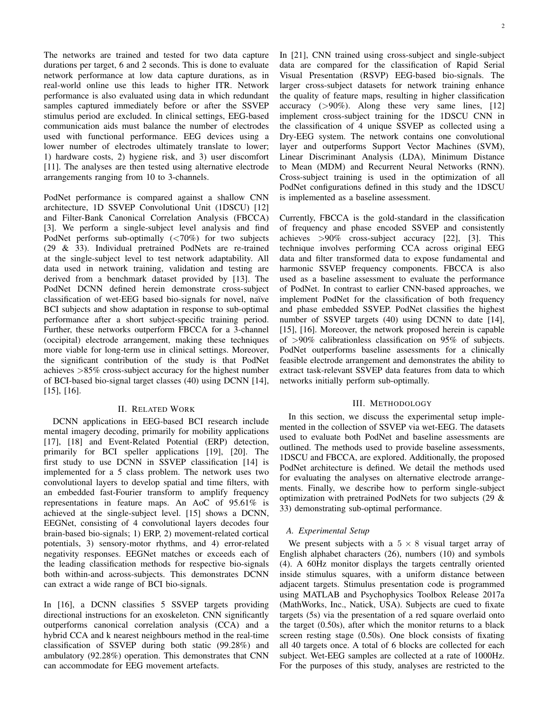The networks are trained and tested for two data capture durations per target, 6 and 2 seconds. This is done to evaluate network performance at low data capture durations, as in real-world online use this leads to higher ITR. Network performance is also evaluated using data in which redundant samples captured immediately before or after the SSVEP stimulus period are excluded. In clinical settings, EEG-based communication aids must balance the number of electrodes used with functional performance. EEG devices using a lower number of electrodes ultimately translate to lower; 1) hardware costs, 2) hygiene risk, and 3) user discomfort [11]. The analyses are then tested using alternative electrode arrangements ranging from 10 to 3-channels.

PodNet performance is compared against a shallow CNN architecture, 1D SSVEP Convolutional Unit (1DSCU) [12] and Filter-Bank Canonical Correlation Analysis (FBCCA) [3]. We perform a single-subject level analysis and find PodNet performs sub-optimally (<70%) for two subjects (29 & 33). Individual pretrained PodNets are re-trained at the single-subject level to test network adaptability. All data used in network training, validation and testing are derived from a benchmark dataset provided by [13]. The PodNet DCNN defined herein demonstrate cross-subject classification of wet-EEG based bio-signals for novel, naïve BCI subjects and show adaptation in response to sub-optimal performance after a short subject-specific training period. Further, these networks outperform FBCCA for a 3-channel (occipital) electrode arrangement, making these techniques more viable for long-term use in clinical settings. Moreover, the significant contribution of the study is that PodNet achieves >85% cross-subject accuracy for the highest number of BCI-based bio-signal target classes (40) using DCNN [14], [15], [16].

## II. RELATED WORK

DCNN applications in EEG-based BCI research include mental imagery decoding, primarily for mobility applications [17], [18] and Event-Related Potential (ERP) detection, primarily for BCI speller applications [19], [20]. The first study to use DCNN in SSVEP classification [14] is implemented for a 5 class problem. The network uses two convolutional layers to develop spatial and time filters, with an embedded fast-Fourier transform to amplify frequency representations in feature maps. An AoC of 95.61% is achieved at the single-subject level. [15] shows a DCNN, EEGNet, consisting of 4 convolutional layers decodes four brain-based bio-signals; 1) ERP, 2) movement-related cortical potentials, 3) sensory-motor rhythms, and 4) error-related negativity responses. EEGNet matches or exceeds each of the leading classification methods for respective bio-signals both within-and across-subjects. This demonstrates DCNN can extract a wide range of BCI bio-signals.

In [16], a DCNN classifies 5 SSVEP targets providing directional instructions for an exoskeleton. CNN significantly outperforms canonical correlation analysis (CCA) and a hybrid CCA and k nearest neighbours method in the real-time classification of SSVEP during both static (99.28%) and ambulatory (92.28%) operation. This demonstrates that CNN can accommodate for EEG movement artefacts.

In [21], CNN trained using cross-subject and single-subject data are compared for the classification of Rapid Serial Visual Presentation (RSVP) EEG-based bio-signals. The larger cross-subject datasets for network training enhance the quality of feature maps, resulting in higher classification accuracy  $(>90\%)$ . Along these very same lines, [12] implement cross-subject training for the 1DSCU CNN in the classification of 4 unique SSVEP as collected using a Dry-EEG system. The network contains one convolutional layer and outperforms Support Vector Machines (SVM), Linear Discriminant Analysis (LDA), Minimum Distance to Mean (MDM) and Recurrent Neural Networks (RNN). Cross-subject training is used in the optimization of all PodNet configurations defined in this study and the 1DSCU is implemented as a baseline assessment.

Currently, FBCCA is the gold-standard in the classification of frequency and phase encoded SSVEP and consistently achieves >90% cross-subject accuracy [22], [3]. This technique involves performing CCA across original EEG data and filter transformed data to expose fundamental and harmonic SSVEP frequency components. FBCCA is also used as a baseline assessment to evaluate the performance of PodNet. In contrast to earlier CNN-based approaches, we implement PodNet for the classification of both frequency and phase embedded SSVEP. PodNet classifies the highest number of SSVEP targets (40) using DCNN to date [14], [15], [16]. Moreover, the network proposed herein is capable of >90% calibrationless classification on 95% of subjects. PodNet outperforms baseline assessments for a clinically feasible electrode arrangement and demonstrates the ability to extract task-relevant SSVEP data features from data to which networks initially perform sub-optimally.

#### III. METHODOLOGY

In this section, we discuss the experimental setup implemented in the collection of SSVEP via wet-EEG. The datasets used to evaluate both PodNet and baseline assessments are outlined. The methods used to provide baseline assessments, 1DSCU and FBCCA, are explored. Additionally, the proposed PodNet architecture is defined. We detail the methods used for evaluating the analyses on alternative electrode arrangements. Finally, we describe how to perform single-subject optimization with pretrained PodNets for two subjects (29 & 33) demonstrating sub-optimal performance.

## *A. Experimental Setup*

We present subjects with a  $5 \times 8$  visual target array of English alphabet characters (26), numbers (10) and symbols (4). A 60Hz monitor displays the targets centrally oriented inside stimulus squares, with a uniform distance between adjacent targets. Stimulus presentation code is programmed using MATLAB and Psychophysics Toolbox Release 2017a (MathWorks, Inc., Natick, USA). Subjects are cued to fixate targets (5s) via the presentation of a red square overlaid onto the target (0.50s), after which the monitor returns to a black screen resting stage (0.50s). One block consists of fixating all 40 targets once. A total of 6 blocks are collected for each subject. Wet-EEG samples are collected at a rate of 1000Hz. For the purposes of this study, analyses are restricted to the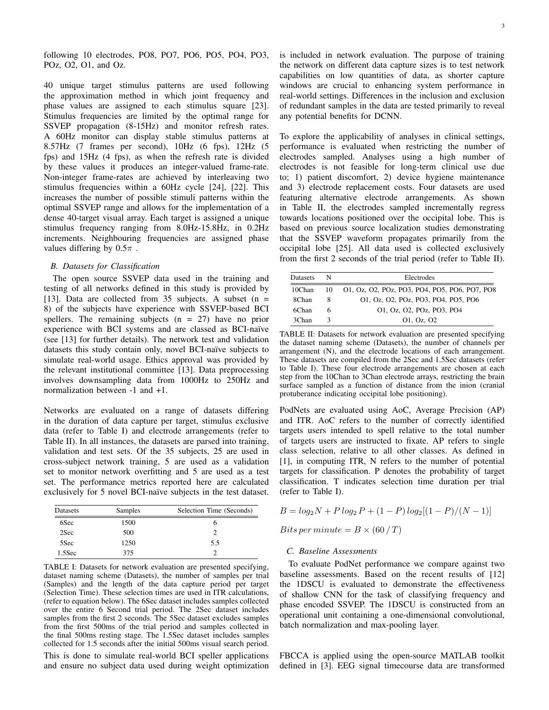following 10 electrodes, PO8, PO7, PO6, PO5, PO4, PO3, POz, O2, O1, and Oz.

40 unique target stimulus patterns are used following the approximation method in which joint frequency and phase values are assigned to each stimulus square [23]. Stimulus frequencies are limited by the optimal range for SSVEP propagation (8-15Hz) and monitor refresh rates. A 60Hz monitor can display stable stimulus patterns at 8.57Hz (7 frames per second), 10Hz (6 fps), 12Hz (5 fps) and 15Hz (4 fps), as when the refresh rate is divided by these values it produces an integer-valued frame-rate. Non-integer frame-rates are achieved by interleaving two stimulus frequencies within a 60Hz cycle [24], [22]. This increases the number of possible stimuli patterns within the optimal SSVEP range and allows for the implementation of a dense 40-target visual array. Each target is assigned a unique stimulus frequency ranging from 8.0Hz-15.8Hz, in 0.2Hz increments. Neighbouring frequencies are assigned phase values differing by  $0.5\pi$ .

### *B. Datasets for Classification*

The open source SSVEP data used in the training and testing of all networks defined in this study is provided by [13]. Data are collected from 35 subjects. A subset  $(n =$ 8) of the subjects have experience with SSVEP-based BCI spellers. The remaining subjects  $(n = 27)$  have no prior experience with BCI systems and are classed as BCI-naïve (see [13] for further details). The network test and validation datasets this study contain only, novel BCI-naïve subjects to simulate real-world usage. Ethics approval was provided by the relevant institutional committee [13]. Data preprocessing involves downsampling data from 1000Hz to 250Hz and normalization between -1 and +1.

Networks are evaluated on a range of datasets differing in the duration of data capture per target, stimulus exclusive data (refer to Table I) and electrode arrangements (refer to Table II). In all instances, the datasets are parsed into training, validation and test sets. Of the 35 subjects, 25 are used in cross-subject network training, 5 are used as a validation set to monitor network overfitting and 5 are used as a test set. The performance metrics reported here are calculated exclusively for 5 novel BCI-naïve subjects in the test dataset.

| Datasets  | Samples | Selection Time (Seconds) |  |  |
|-----------|---------|--------------------------|--|--|
| 6Sec      | 1500    |                          |  |  |
| 2Sec      | 500     |                          |  |  |
| 5Sec      | 1250    | 5.5                      |  |  |
| $1.5$ Sec | 375     |                          |  |  |

TABLE I: Datasets for network evaluation are presented specifying, dataset naming scheme (Datasets), the number of samples per trial (Samples) and the length of the data capture period per target (Selection Time). These selection times are used in ITR calculations, (refer to equation below). The 6Sec dataset includes samples collected over the entire 6 Second trial period. The 2Sec dataset includes samples from the first 2 seconds. The 5Sec dataset excludes samples from the first 500ms of the trial period and samples collected in the final 500ms resting stage. The 1.5Sec dataset includes samples collected for 1.5 seconds after the initial 500ms visual search period. This is done to simulate real-world BCI speller applications and ensure no subject data used during weight optimization

is included in network evaluation. The purpose of training the network on different data capture sizes is to test network capabilities on low quantities of data, as shorter capture windows are crucial to enhancing system performance in real-world settings. Differences in the inclusion and exclusion of redundant samples in the data are tested primarily to reveal any potential benefits for DCNN.

To explore the applicability of analyses in clinical settings, performance is evaluated when restricting the number of electrodes sampled. Analyses using a high number of electrodes is not feasible for long-term clinical use due to; 1) patient discomfort, 2) device hygiene maintenance and 3) electrode replacement costs. Four datasets are used featuring alternative electrode arrangements. As shown in Table II, the electrodes sampled incrementally regress towards locations positioned over the occipital lobe. This is based on previous source localization studies demonstrating that the SSVEP waveform propagates primarily from the occipital lobe [25]. All data used is collected exclusively from the first 2 seconds of the trial period (refer to Table II).

| <b>Datasets</b> | N   | Electrodes                                    |  |  |
|-----------------|-----|-----------------------------------------------|--|--|
| 10Chan          | 10. | 01, Oz, O2, POz, PO3, PO4, PO5, PO6, PO7, PO8 |  |  |
| 8Chan           | 8   | 01, Oz, O2, POz, PO3, PO4, PO5, PO6           |  |  |
| 6Chan           | 6   | 01, Oz, O2, POz, PO3, PO4                     |  |  |
| 3Chan           |     | 01. Oz. 02                                    |  |  |

TABLE II: Datasets for network evaluation are presented specifying the dataset naming scheme (Datasets), the number of channels per arrangement (N), and the electrode locations of each arrangement. These datasets are compiled from the 2Sec and 1.5Sec datasets (refer to Table I). These four electrode arrangements are chosen at each step from the 10Chan to 3Chan electrode arrays, restricting the brain surface sampled as a function of distance from the inion (cranial protuberance indicating occipital lobe positioning).

PodNets are evaluated using AoC, Average Precision (AP) and ITR. AoC refers to the number of correctly identified targets users intended to spell relative to the total number of targets users are instructed to fixate. AP refers to single class selection, relative to all other classes. As defined in [1], in computing ITR, N refers to the number of potential targets for classification. P denotes the probability of target classification. T indicates selection time duration per trial (refer to Table I).

$$
B = log_2 N + P log_2 P + (1 - P) log_2 [(1 - P)/(N - 1)]
$$

Bits per minute  $= B \times (60/T)$ 

## *C. Baseline Assessments*

To evaluate PodNet performance we compare against two baseline assessments. Based on the recent results of [12] the 1DSCU is evaluated to demonstrate the effectiveness of shallow CNN for the task of classifying frequency and phase encoded SSVEP. The 1DSCU is constructed from an operational unit containing a one-dimensional convolutional, batch normalization and max-pooling layer.

FBCCA is applied using the open-source MATLAB toolkit defined in [3]. EEG signal timecourse data are transformed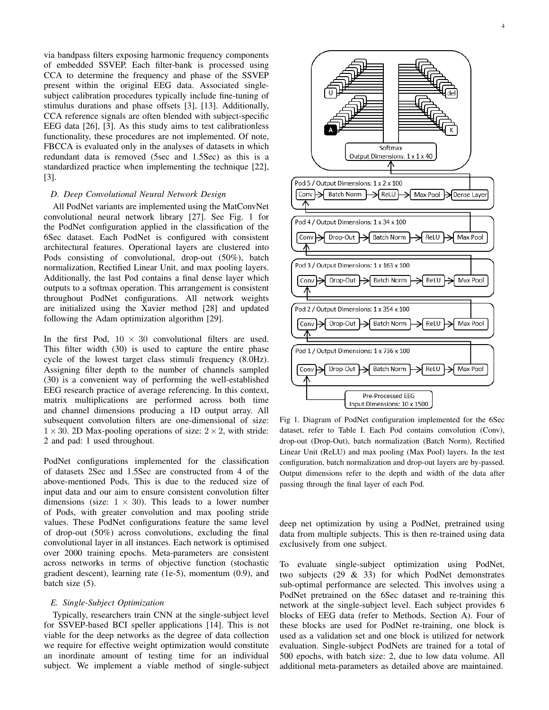via bandpass filters exposing harmonic frequency components of embedded SSVEP. Each filter-bank is processed using CCA to determine the frequency and phase of the SSVEP present within the original EEG data. Associated singlesubject calibration procedures typically include fine-tuning of stimulus durations and phase offsets [3], [13]. Additionally, CCA reference signals are often blended with subject-specific EEG data [26], [3]. As this study aims to test calibrationless functionality, these procedures are not implemented. Of note, FBCCA is evaluated only in the analyses of datasets in which redundant data is removed (5sec and 1.5Sec) as this is a standardized practice when implementing the technique [22], [3].

## *D. Deep Convolutional Neural Network Design*

All PodNet variants are implemented using the MatConvNet convolutional neural network library [27]. See Fig. 1 for the PodNet configuration applied in the classification of the 6Sec dataset. Each PodNet is configured with consistent architectural features. Operational layers are clustered into Pods consisting of convolutional, drop-out (50%), batch normalization, Rectified Linear Unit, and max pooling layers. Additionally, the last Pod contains a final dense layer which outputs to a softmax operation. This arrangement is consistent throughout PodNet configurations. All network weights are initialized using the Xavier method [28] and updated following the Adam optimization algorithm [29].

In the first Pod,  $10 \times 30$  convolutional filters are used. This filter width (30) is used to capture the entire phase cycle of the lowest target class stimuli frequency (8.0Hz). Assigning filter depth to the number of channels sampled (30) is a convenient way of performing the well-established EEG research practice of average referencing. In this context, matrix multiplications are performed across both time and channel dimensions producing a 1D output array. All subsequent convolution filters are one-dimensional of size:  $1 \times 30$ . 2D Max-pooling operations of size:  $2 \times 2$ , with stride: 2 and pad: 1 used throughout.

PodNet configurations implemented for the classification of datasets 2Sec and 1.5Sec are constructed from 4 of the above-mentioned Pods. This is due to the reduced size of input data and our aim to ensure consistent convolution filter dimensions (size:  $1 \times 30$ ). This leads to a lower number of Pods, with greater convolution and max pooling stride values. These PodNet configurations feature the same level of drop-out (50%) across convolutions, excluding the final convolutional layer in all instances. Each network is optimised over 2000 training epochs. Meta-parameters are consistent across networks in terms of objective function (stochastic gradient descent), learning rate (1e-5), momentum (0.9), and batch size (5).

## *E. Single-Subject Optimization*

Typically, researchers train CNN at the single-subject level for SSVEP-based BCI speller applications [14]. This is not viable for the deep networks as the degree of data collection we require for effective weight optimization would constitute an inordinate amount of testing time for an individual subject. We implement a viable method of single-subject



Fig 1. Diagram of PodNet configuration implemented for the 6Sec dataset, refer to Table I. Each Pod contains convolution (Conv), drop-out (Drop-Out), batch normalization (Batch Norm), Rectified Linear Unit (ReLU) and max pooling (Max Pool) layers. In the test configuration, batch normalization and drop-out layers are by-passed. Output dimensions refer to the depth and width of the data after passing through the final layer of each Pod.

deep net optimization by using a PodNet, pretrained using data from multiple subjects. This is then re-trained using data exclusively from one subject.

To evaluate single-subject optimization using PodNet, two subjects (29 & 33) for which PodNet demonstrates sub-optimal performance are selected. This involves using a PodNet pretrained on the 6Sec dataset and re-training this network at the single-subject level. Each subject provides 6 blocks of EEG data (refer to Methods, Section A). Four of these blocks are used for PodNet re-training, one block is used as a validation set and one block is utilized for network evaluation. Single-subject PodNets are trained for a total of 500 epochs, with batch size: 2, due to low data volume. All additional meta-parameters as detailed above are maintained.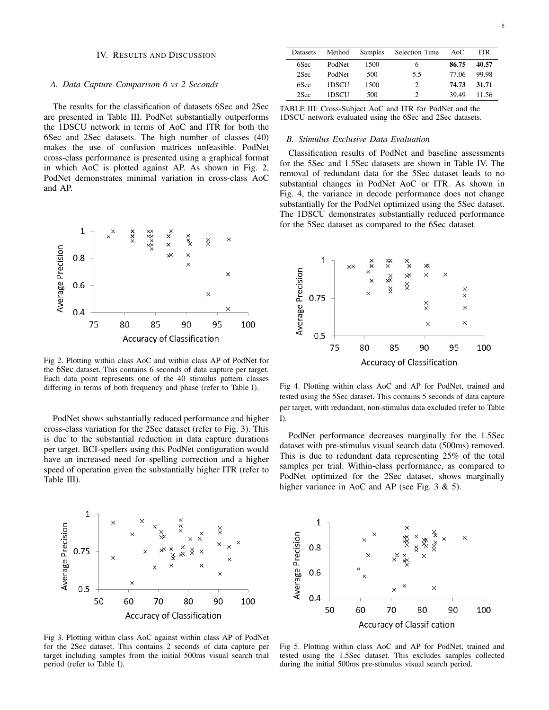## IV. RESULTS AND DISCUSSION

## *A. Data Capture Comparison 6 vs 2 Seconds*

The results for the classification of datasets 6Sec and 2Sec are presented in Table III. PodNet substantially outperforms the 1DSCU network in terms of AoC and ITR for both the 6Sec and 2Sec datasets. The high number of classes (40) makes the use of confusion matrices unfeasible. PodNet cross-class performance is presented using a graphical format in which AoC is plotted against AP. As shown in Fig. 2, PodNet demonstrates minimal variation in cross-class AoC and AP.



Fig 2. Plotting within class AoC and within class AP of PodNet for the 6Sec dataset. This contains 6 seconds of data capture per target. Each data point represents one of the 40 stimulus pattern classes differing in terms of both frequency and phase (refer to Table I).

PodNet shows substantially reduced performance and higher cross-class variation for the 2Sec dataset (refer to Fig. 3). This is due to the substantial reduction in data capture durations per target. BCI-spellers using this PodNet configuration would have an increased need for spelling correction and a higher speed of operation given the substantially higher ITR (refer to Table III).



Fig 3. Plotting within class AoC against within class AP of PodNet for the 2Sec dataset. This contains 2 seconds of data capture per target including samples from the initial 500ms visual search trial period (refer to Table I).

| Datasets | Method |      | Samples Selection Time | AoC   | <b>ITR</b> |
|----------|--------|------|------------------------|-------|------------|
| 6Sec     | PodNet | 1500 | 6                      | 86.75 | 40.57      |
| 2Sec     | PodNet | 500  | 5.5                    | 77.06 | 99.98      |
| 6Sec     | 1DSCU  | 1500 | 2                      | 74.73 | 31.71      |
| 2Sec     | 1DSCU  | 500  |                        | 39.49 | 11.56      |

TABLE III: Cross-Subject AoC and ITR for PodNet and the 1DSCU network evaluated using the 6Sec and 2Sec datasets.

#### *B. Stimulus Exclusive Data Evaluation*

Classification results of PodNet and baseline assessments for the 5Sec and 1.5Sec datasets are shown in Table IV. The removal of redundant data for the 5Sec dataset leads to no substantial changes in PodNet AoC or ITR. As shown in Fig. 4, the variance in decode performance does not change substantially for the PodNet optimized using the 5Sec dataset. The 1DSCU demonstrates substantially reduced performance for the 5Sec dataset as compared to the 6Sec dataset.



Fig 4. Plotting within class AoC and AP for PodNet, trained and tested using the 5Sec dataset. This contains 5 seconds of data capture per target, with redundant, non-stimulus data excluded (refer to Table I).

PodNet performance decreases marginally for the 1.5Sec dataset with pre-stimulus visual search data (500ms) removed. This is due to redundant data representing 25% of the total samples per trial. Within-class performance, as compared to PodNet optimized for the 2Sec dataset, shows marginally higher variance in AoC and AP (see Fig. 3 & 5).



Fig 5. Plotting within class AoC and AP for PodNet, trained and tested using the 1.5Sec dataset. This excludes samples collected during the initial 500ms pre-stimulus visual search period.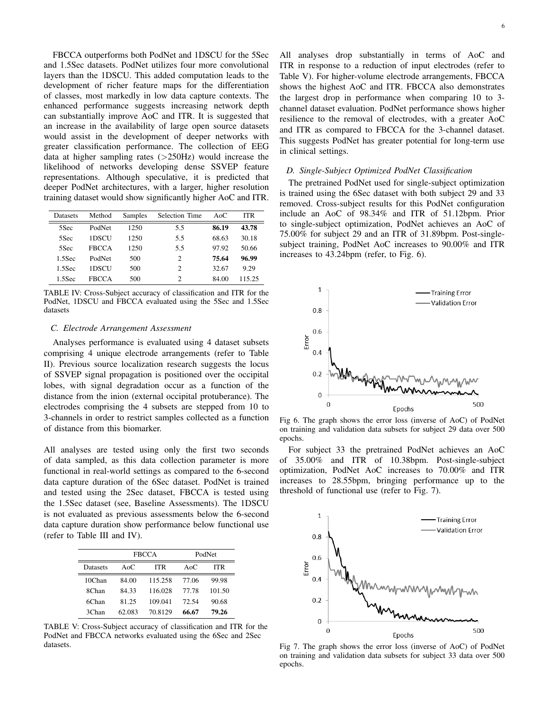FBCCA outperforms both PodNet and 1DSCU for the 5Sec and 1.5Sec datasets. PodNet utilizes four more convolutional layers than the 1DSCU. This added computation leads to the development of richer feature maps for the differentiation of classes, most markedly in low data capture contexts. The enhanced performance suggests increasing network depth can substantially improve AoC and ITR. It is suggested that an increase in the availability of large open source datasets would assist in the development of deeper networks with greater classification performance. The collection of EEG data at higher sampling rates  $(>250Hz)$  would increase the likelihood of networks developing dense SSVEP feature representations. Although speculative, it is predicted that deeper PodNet architectures, with a larger, higher resolution training dataset would show significantly higher AoC and ITR.

| Datasets  | Method       | Samples | <b>Selection Time</b>       | A <sub>0</sub> C | <b>ITR</b> |
|-----------|--------------|---------|-----------------------------|------------------|------------|
| 5Sec      | PodNet       | 1250    | 5.5                         | 86.19            | 43.78      |
| 5Sec      | 1DSCU        | 1250    | 5.5                         | 68.63            | 30.18      |
| 5Sec      | <b>FBCCA</b> | 1250    | 5.5                         | 97.92            | 50.66      |
| $1.5$ Sec | PodNet       | 500     | $\mathcal{D}_{\mathcal{L}}$ | 75.64            | 96.99      |
| $1.5$ Sec | 1DSCU        | 500     | 2                           | 32.67            | 9.29       |
| 1.5Sec    | <b>FRCCA</b> | 500     | $\mathfrak{D}$              | 84.00            | 115.25     |

TABLE IV: Cross-Subject accuracy of classification and ITR for the PodNet, 1DSCU and FBCCA evaluated using the 5Sec and 1.5Sec datasets

#### *C. Electrode Arrangement Assessment*

Analyses performance is evaluated using 4 dataset subsets comprising 4 unique electrode arrangements (refer to Table II). Previous source localization research suggests the locus of SSVEP signal propagation is positioned over the occipital lobes, with signal degradation occur as a function of the distance from the inion (external occipital protuberance). The electrodes comprising the 4 subsets are stepped from 10 to 3-channels in order to restrict samples collected as a function of distance from this biomarker.

All analyses are tested using only the first two seconds of data sampled, as this data collection parameter is more functional in real-world settings as compared to the 6-second data capture duration of the 6Sec dataset. PodNet is trained and tested using the 2Sec dataset, FBCCA is tested using the 1.5Sec dataset (see, Baseline Assessments). The 1DSCU is not evaluated as previous assessments below the 6-second data capture duration show performance below functional use (refer to Table III and IV).

|          | <b>FBCCA</b> |         | PodNet |        |
|----------|--------------|---------|--------|--------|
| Datasets | Ao $C$       | ITR     | AoC.   | ITR    |
| 10Chan   | 84.00        | 115.258 | 77.06  | 99.98  |
| 8Chan    | 84.33        | 116.028 | 77.78  | 101.50 |
| 6Chan    | 81.25        | 109.041 | 72.54  | 90.68  |
| 3Chan    | 62.083       | 70.8129 | 66.67  | 79.26  |

TABLE V: Cross-Subject accuracy of classification and ITR for the PodNet and FBCCA networks evaluated using the 6Sec and 2Sec datasets.

All analyses drop substantially in terms of AoC and ITR in response to a reduction of input electrodes (refer to Table V). For higher-volume electrode arrangements, FBCCA shows the highest AoC and ITR. FBCCA also demonstrates the largest drop in performance when comparing 10 to 3 channel dataset evaluation. PodNet performance shows higher resilience to the removal of electrodes, with a greater AoC and ITR as compared to FBCCA for the 3-channel dataset. This suggests PodNet has greater potential for long-term use in clinical settings.

# *D. Single-Subject Optimized PodNet Classification*

The pretrained PodNet used for single-subject optimization is trained using the 6Sec dataset with both subject 29 and 33 removed. Cross-subject results for this PodNet configuration include an AoC of 98.34% and ITR of 51.12bpm. Prior to single-subject optimization, PodNet achieves an AoC of 75.00% for subject 29 and an ITR of 31.89bpm. Post-singlesubject training, PodNet AoC increases to 90.00% and ITR increases to 43.24bpm (refer, to Fig. 6).



Fig 6. The graph shows the error loss (inverse of AoC) of PodNet on training and validation data subsets for subject 29 data over 500 epochs.

For subject 33 the pretrained PodNet achieves an AoC of 35.00% and ITR of 10.38bpm. Post-single-subject optimization, PodNet AoC increases to 70.00% and ITR increases to 28.55bpm, bringing performance up to the threshold of functional use (refer to Fig. 7).



Fig 7. The graph shows the error loss (inverse of AoC) of PodNet on training and validation data subsets for subject 33 data over 500 epochs.